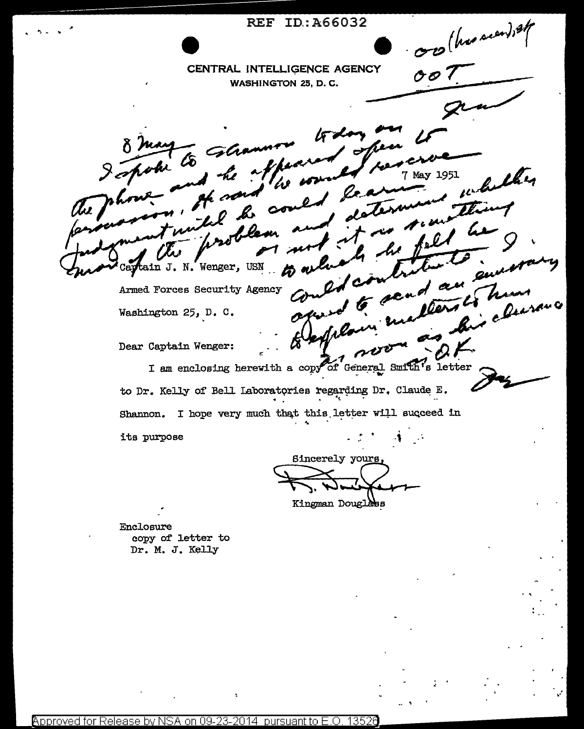REF ID:A66032 OB (has recently CENTRAL INTELLIGENCE AGENCY  $007$ WASHINGTON 25, D.C. eku May 1951 tain J. N. Wenger, USN Ñ. u su Armed Forces Security Agency Washington 25, D. C. Dear Captain Wenger: I am enclosing herewith a copy of General Smith's letter to Dr. Kelly of Bell Laboratories regarding Dr. Claude E. Shannon. I hope very much that this letter will succeed in its purpose Sincerely yours Kingman Douglass

Enclosure copy of letter to Dr. M. J. Kelly